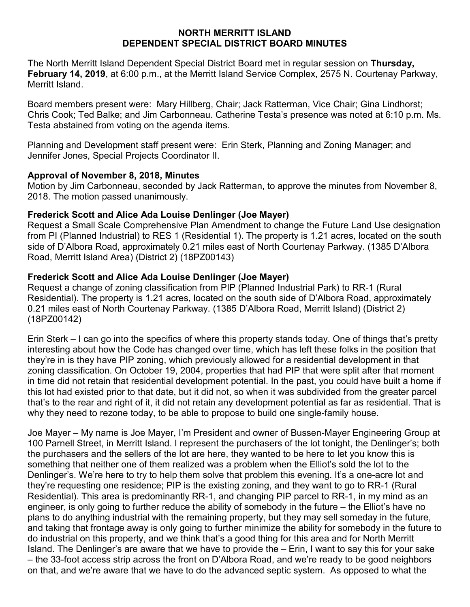#### **NORTH MERRITT ISLAND DEPENDENT SPECIAL DISTRICT BOARD MINUTES**

The North Merritt Island Dependent Special District Board met in regular session on **Thursday, February 14, 2019**, at 6:00 p.m., at the Merritt Island Service Complex, 2575 N. Courtenay Parkway, Merritt Island.

Board members present were:Mary Hillberg, Chair; Jack Ratterman, Vice Chair; Gina Lindhorst; Chris Cook; Ted Balke; and Jim Carbonneau. Catherine Testa's presence was noted at 6:10 p.m. Ms. Testa abstained from voting on the agenda items.

Planning and Development staff present were: Erin Sterk, Planning and Zoning Manager; and Jennifer Jones, Special Projects Coordinator II.

### **Approval of November 8, 2018, Minutes**

Motion by Jim Carbonneau, seconded by Jack Ratterman, to approve the minutes from November 8, 2018. The motion passed unanimously.

## **Frederick Scott and Alice Ada Louise Denlinger (Joe Mayer)**

Request a Small Scale Comprehensive Plan Amendment to change the Future Land Use designation from PI (Planned Industrial) to RES 1 (Residential 1). The property is 1.21 acres, located on the south side of D'Albora Road, approximately 0.21 miles east of North Courtenay Parkway. (1385 D'Albora Road, Merritt Island Area) (District 2) (18PZ00143)

# **Frederick Scott and Alice Ada Louise Denlinger (Joe Mayer)**

Request a change of zoning classification from PIP (Planned Industrial Park) to RR-1 (Rural Residential). The property is 1.21 acres, located on the south side of D'Albora Road, approximately 0.21 miles east of North Courtenay Parkway. (1385 D'Albora Road, Merritt Island) (District 2) (18PZ00142)

Erin Sterk – I can go into the specifics of where this property stands today. One of things that's pretty interesting about how the Code has changed over time, which has left these folks in the position that they're in is they have PIP zoning, which previously allowed for a residential development in that zoning classification. On October 19, 2004, properties that had PIP that were split after that moment in time did not retain that residential development potential. In the past, you could have built a home if this lot had existed prior to that date, but it did not, so when it was subdivided from the greater parcel that's to the rear and right of it, it did not retain any development potential as far as residential. That is why they need to rezone today, to be able to propose to build one single-family house.

Joe Mayer – My name is Joe Mayer, I'm President and owner of Bussen-Mayer Engineering Group at 100 Parnell Street, in Merritt Island. I represent the purchasers of the lot tonight, the Denlinger's; both the purchasers and the sellers of the lot are here, they wanted to be here to let you know this is something that neither one of them realized was a problem when the Elliot's sold the lot to the Denlinger's. We're here to try to help them solve that problem this evening. It's a one-acre lot and they're requesting one residence; PIP is the existing zoning, and they want to go to RR-1 (Rural Residential). This area is predominantly RR-1, and changing PIP parcel to RR-1, in my mind as an engineer, is only going to further reduce the ability of somebody in the future – the Elliot's have no plans to do anything industrial with the remaining property, but they may sell someday in the future, and taking that frontage away is only going to further minimize the ability for somebody in the future to do industrial on this property, and we think that's a good thing for this area and for North Merritt Island. The Denlinger's are aware that we have to provide the – Erin, I want to say this for your sake – the 33-foot access strip across the front on D'Albora Road, and we're ready to be good neighbors on that, and we're aware that we have to do the advanced septic system. As opposed to what the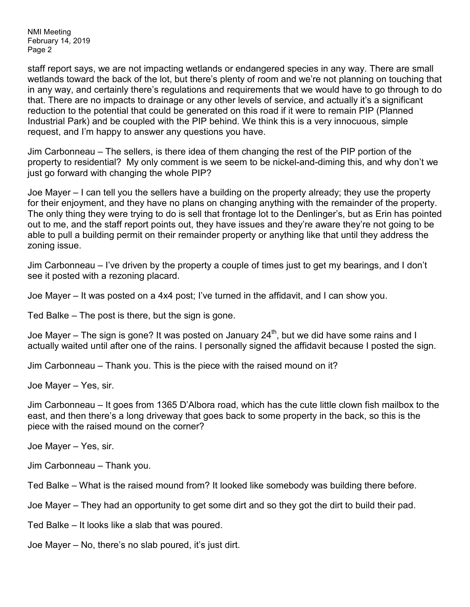NMI Meeting February 14, 2019 Page 2

staff report says, we are not impacting wetlands or endangered species in any way. There are small wetlands toward the back of the lot, but there's plenty of room and we're not planning on touching that in any way, and certainly there's regulations and requirements that we would have to go through to do that. There are no impacts to drainage or any other levels of service, and actually it's a significant reduction to the potential that could be generated on this road if it were to remain PIP (Planned Industrial Park) and be coupled with the PIP behind. We think this is a very innocuous, simple request, and I'm happy to answer any questions you have.

Jim Carbonneau – The sellers, is there idea of them changing the rest of the PIP portion of the property to residential? My only comment is we seem to be nickel-and-diming this, and why don't we just go forward with changing the whole PIP?

Joe Mayer – I can tell you the sellers have a building on the property already; they use the property for their enjoyment, and they have no plans on changing anything with the remainder of the property. The only thing they were trying to do is sell that frontage lot to the Denlinger's, but as Erin has pointed out to me, and the staff report points out, they have issues and they're aware they're not going to be able to pull a building permit on their remainder property or anything like that until they address the zoning issue.

Jim Carbonneau – I've driven by the property a couple of times just to get my bearings, and I don't see it posted with a rezoning placard.

Joe Mayer – It was posted on a 4x4 post; I've turned in the affidavit, and I can show you.

Ted Balke – The post is there, but the sign is gone.

Joe Mayer – The sign is gone? It was posted on January 24<sup>th</sup>, but we did have some rains and I actually waited until after one of the rains. I personally signed the affidavit because I posted the sign.

Jim Carbonneau – Thank you. This is the piece with the raised mound on it?

Joe Mayer – Yes, sir.

Jim Carbonneau – It goes from 1365 D'Albora road, which has the cute little clown fish mailbox to the east, and then there's a long driveway that goes back to some property in the back, so this is the piece with the raised mound on the corner?

Joe Mayer – Yes, sir.

Jim Carbonneau – Thank you.

Ted Balke – What is the raised mound from? It looked like somebody was building there before.

Joe Mayer – They had an opportunity to get some dirt and so they got the dirt to build their pad.

Ted Balke – It looks like a slab that was poured.

Joe Mayer – No, there's no slab poured, it's just dirt.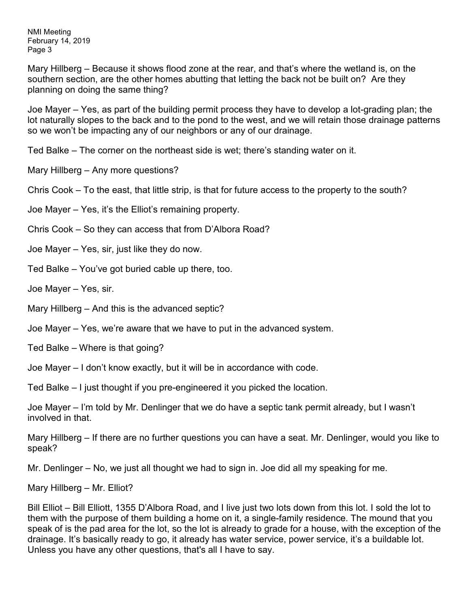NMI Meeting February 14, 2019 Page 3

Mary Hillberg – Because it shows flood zone at the rear, and that's where the wetland is, on the southern section, are the other homes abutting that letting the back not be built on? Are they planning on doing the same thing?

Joe Mayer – Yes, as part of the building permit process they have to develop a lot-grading plan; the lot naturally slopes to the back and to the pond to the west, and we will retain those drainage patterns so we won't be impacting any of our neighbors or any of our drainage.

Ted Balke – The corner on the northeast side is wet; there's standing water on it.

Mary Hillberg – Any more questions?

Chris Cook – To the east, that little strip, is that for future access to the property to the south?

Joe Mayer – Yes, it's the Elliot's remaining property.

Chris Cook – So they can access that from D'Albora Road?

Joe Mayer – Yes, sir, just like they do now.

Ted Balke – You've got buried cable up there, too.

Joe Mayer – Yes, sir.

Mary Hillberg – And this is the advanced septic?

Joe Mayer – Yes, we're aware that we have to put in the advanced system.

Ted Balke – Where is that going?

Joe Mayer – I don't know exactly, but it will be in accordance with code.

Ted Balke – I just thought if you pre-engineered it you picked the location.

Joe Mayer – I'm told by Mr. Denlinger that we do have a septic tank permit already, but I wasn't involved in that.

Mary Hillberg – If there are no further questions you can have a seat. Mr. Denlinger, would you like to speak?

Mr. Denlinger – No, we just all thought we had to sign in. Joe did all my speaking for me.

Mary Hillberg – Mr. Elliot?

Bill Elliot – Bill Elliott, 1355 D'Albora Road, and I live just two lots down from this lot. I sold the lot to them with the purpose of them building a home on it, a single-family residence. The mound that you speak of is the pad area for the lot, so the lot is already to grade for a house, with the exception of the drainage. It's basically ready to go, it already has water service, power service, it's a buildable lot. Unless you have any other questions, that's all I have to say.